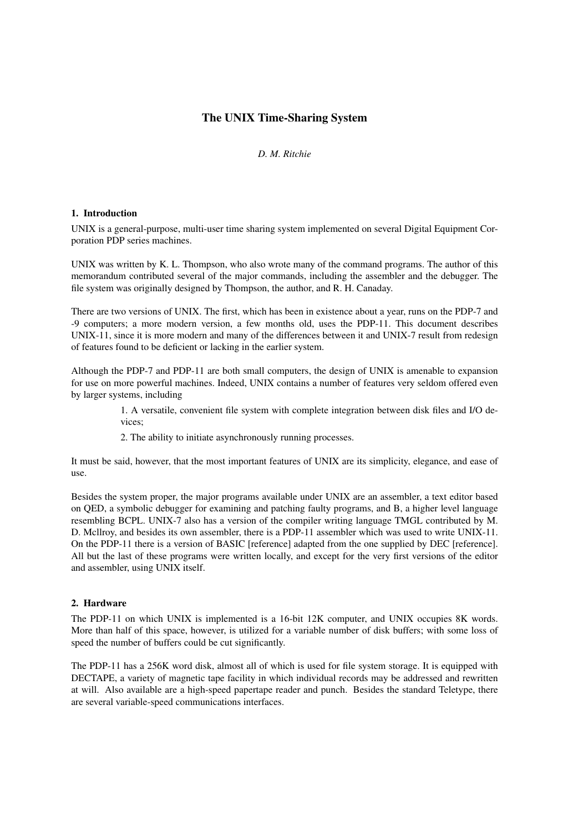# **The UNIX Time-Sharing System**

# *D. M. Ritchie*

### **1. Introduction**

UNIX is a general-purpose, multi-user time sharing system implemented on several Digital Equipment Corporation PDP series machines.

UNIX was written by K. L. Thompson, who also wrote many of the command programs. The author of this memorandum contributed several of the major commands, including the assembler and the debugger. The file system was originally designed by Thompson, the author, and R. H. Canaday.

There are two versions of UNIX. The first, which has been in existence about a year, runs on the PDP-7 and -9 computers; a more modern version, a few months old, uses the PDP-11. This document describes UNIX-11, since it is more modern and many of the differences between it and UNIX-7 result from redesign of features found to be deficient or lacking in the earlier system.

Although the PDP-7 and PDP-11 are both small computers, the design of UNIX is amenable to expansion for use on more powerful machines. Indeed, UNIX contains a number of features very seldom offered even by larger systems, including

> 1. A versatile, convenient file system with complete integration between disk files and I/O devices;

2. The ability to initiate asynchronously running processes.

It must be said, however, that the most important features of UNIX are its simplicity, elegance, and ease of use.

Besides the system proper, the major programs available under UNIX are an assembler, a text editor based on QED, a symbolic debugger for examining and patching faulty programs, and B, a higher level language resembling BCPL. UNIX-7 also has a version of the compiler writing language TMGL contributed by M. D. Mcllroy, and besides its own assembler, there is a PDP-11 assembler which was used to write UNIX-11. On the PDP-11 there is a version of BASIC [reference] adapted from the one supplied by DEC [reference]. All but the last of these programs were written locally, and except for the very first versions of the editor and assembler, using UNIX itself.

# **2. Hardware**

The PDP-11 on which UNIX is implemented is a 16-bit 12K computer, and UNIX occupies 8K words. More than half of this space, however, is utilized for a variable number of disk buffers; with some loss of speed the number of buffers could be cut significantly.

The PDP-11 has a 256K word disk, almost all of which is used for file system storage. It is equipped with DECTAPE, a variety of magnetic tape facility in which individual records may be addressed and rewritten at will. Also available are a high-speed papertape reader and punch. Besides the standard Teletype, there are several variable-speed communications interfaces.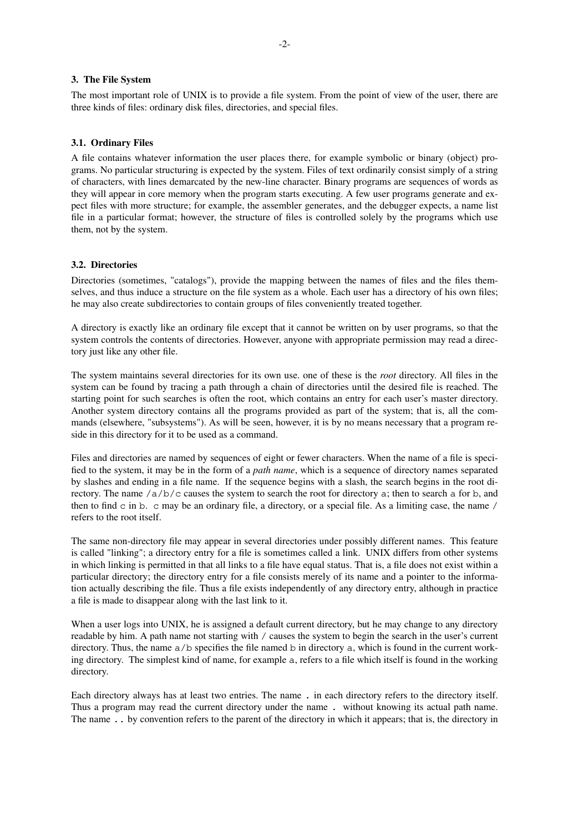### **3. The File System**

The most important role of UNIX is to provide a file system. From the point of view of the user, there are three kinds of files: ordinary disk files, directories, and special files.

#### **3.1. Ordinary Files**

A file contains whatever information the user places there, for example symbolic or binary (object) programs. No particular structuring is expected by the system. Files of text ordinarily consist simply of a string of characters, with lines demarcated by the new-line character. Binary programs are sequences of words as they will appear in core memory when the program starts executing. A few user programs generate and expect files with more structure; for example, the assembler generates, and the debugger expects, a name list file in a particular format; however, the structure of files is controlled solely by the programs which use them, not by the system.

## **3.2. Directories**

Directories (sometimes, "catalogs"), provide the mapping between the names of files and the files themselves, and thus induce a structure on the file system as a whole. Each user has a directory of his own files; he may also create subdirectories to contain groups of files conveniently treated together.

A directory is exactly like an ordinary file except that it cannot be written on by user programs, so that the system controls the contents of directories. However, anyone with appropriate permission may read a directory just like any other file.

The system maintains several directories for its own use. one of these is the *root* directory. All files in the system can be found by tracing a path through a chain of directories until the desired file is reached. The starting point for such searches is often the root, which contains an entry for each user's master directory. Another system directory contains all the programs provided as part of the system; that is, all the commands (elsewhere, "subsystems"). As will be seen, however, it is by no means necessary that a program reside in this directory for it to be used as a command.

Files and directories are named by sequences of eight or fewer characters. When the name of a file is specified to the system, it may be in the form of a *path name*, which is a sequence of directory names separated by slashes and ending in a file name. If the sequence begins with a slash, the search begins in the root directory. The name  $\sqrt{a/b/c}$  causes the system to search the root for directory a; then to search a for b, and then to find  $\sigma$  in  $\sigma$ .  $\sigma$  may be an ordinary file, a directory, or a special file. As a limiting case, the name / refers to the root itself.

The same non-directory file may appear in several directories under possibly different names. This feature is called "linking"; a directory entry for a file is sometimes called a link. UNIX differs from other systems in which linking is permitted in that all links to a file have equal status. That is, a file does not exist within a particular directory; the directory entry for a file consists merely of its name and a pointer to the information actually describing the file. Thus a file exists independently of any directory entry, although in practice a file is made to disappear along with the last link to it.

When a user logs into UNIX, he is assigned a default current directory, but he may change to any directory readable by him. A path name not starting with / causes the system to begin the search in the user's current directory. Thus, the name  $a/b$  specifies the file named b in directory a, which is found in the current working directory. The simplest kind of name, for example a, refers to a file which itself is found in the working directory.

Each directory always has at least two entries. The name . in each directory refers to the directory itself. Thus a program may read the current directory under the name . without knowing its actual path name. The name .. by convention refers to the parent of the directory in which it appears; that is, the directory in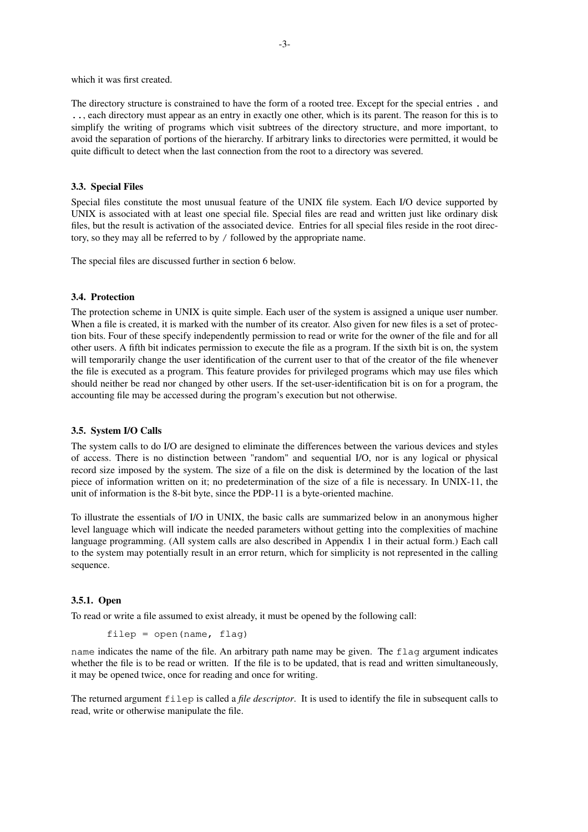which it was first created.

The directory structure is constrained to have the form of a rooted tree. Except for the special entries . and .., each directory must appear as an entry in exactly one other, which is its parent. The reason for this is to simplify the writing of programs which visit subtrees of the directory structure, and more important, to avoid the separation of portions of the hierarchy. If arbitrary links to directories were permitted, it would be quite difficult to detect when the last connection from the root to a directory was severed.

### **3.3. Special Files**

Special files constitute the most unusual feature of the UNIX file system. Each I/O device supported by UNIX is associated with at least one special file. Special files are read and written just like ordinary disk files, but the result is activation of the associated device. Entries for all special files reside in the root directory, so they may all be referred to by / followed by the appropriate name.

The special files are discussed further in section 6 below.

### **3.4. Protection**

The protection scheme in UNIX is quite simple. Each user of the system is assigned a unique user number. When a file is created, it is marked with the number of its creator. Also given for new files is a set of protection bits. Four of these specify independently permission to read or write for the owner of the file and for all other users. A fifth bit indicates permission to execute the file as a program. If the sixth bit is on, the system will temporarily change the user identification of the current user to that of the creator of the file whenever the file is executed as a program. This feature provides for privileged programs which may use files which should neither be read nor changed by other users. If the set-user-identification bit is on for a program, the accounting file may be accessed during the program's execution but not otherwise.

### **3.5. System I/O Calls**

The system calls to do I/O are designed to eliminate the differences between the various devices and styles of access. There is no distinction between "random" and sequential I/O, nor is any logical or physical record size imposed by the system. The size of a file on the disk is determined by the location of the last piece of information written on it; no predetermination of the size of a file is necessary. In UNIX-11, the unit of information is the 8-bit byte, since the PDP-11 is a byte-oriented machine.

To illustrate the essentials of I/O in UNIX, the basic calls are summarized below in an anonymous higher level language which will indicate the needed parameters without getting into the complexities of machine language programming. (All system calls are also described in Appendix 1 in their actual form.) Each call to the system may potentially result in an error return, which for simplicity is not represented in the calling sequence.

#### **3.5.1. Open**

To read or write a file assumed to exist already, it must be opened by the following call:

```
filep = open(name, flag)
```
name indicates the name of the file. An arbitrary path name may be given. The flag argument indicates whether the file is to be read or written. If the file is to be updated, that is read and written simultaneously, it may be opened twice, once for reading and once for writing.

The returned argument filep is called a *file descriptor*. It is used to identify the file in subsequent calls to read, write or otherwise manipulate the file.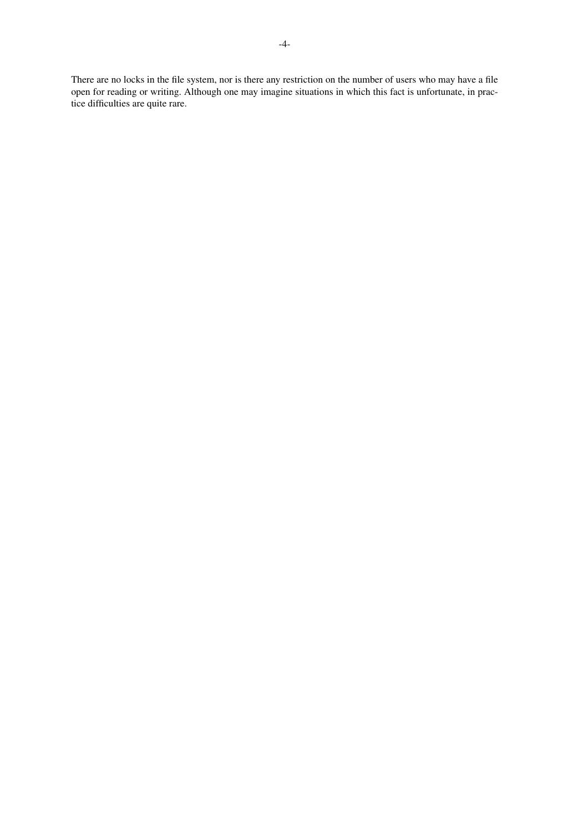There are no locks in the file system, nor is there any restriction on the number of users who may have a file open for reading or writing. Although one may imagine situations in which this fact is unfortunate, in practice difficulties are quite rare.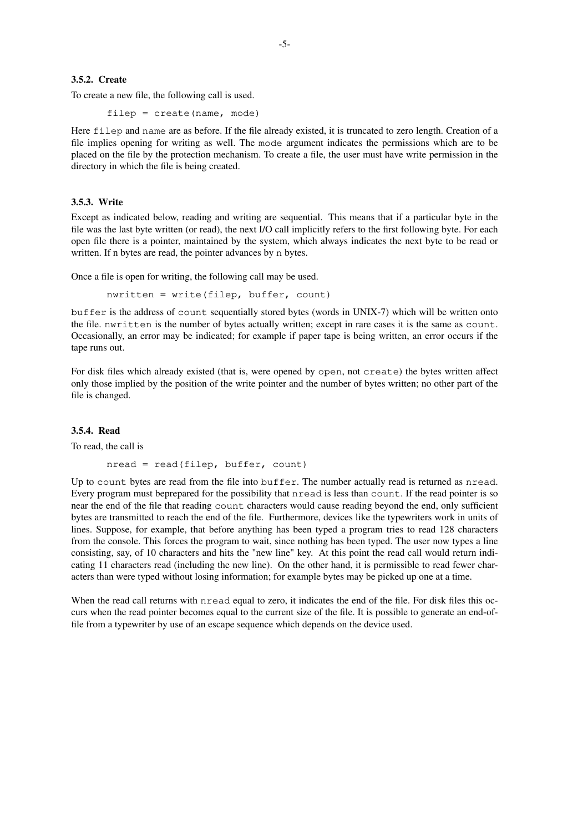To create a new file, the following call is used.

filep = create(name, mode)

Here filep and name are as before. If the file already existed, it is truncated to zero length. Creation of a file implies opening for writing as well. The mode argument indicates the permissions which are to be placed on the file by the protection mechanism. To create a file, the user must have write permission in the directory in which the file is being created.

# **3.5.3. Write**

Except as indicated below, reading and writing are sequential. This means that if a particular byte in the file was the last byte written (or read), the next I/O call implicitly refers to the first following byte. For each open file there is a pointer, maintained by the system, which always indicates the next byte to be read or written. If n bytes are read, the pointer advances by n bytes.

Once a file is open for writing, the following call may be used.

 $n$ written = write(filep, buffer, count)

buffer is the address of count sequentially stored bytes (words in UNIX-7) which will be written onto the file. nwritten is the number of bytes actually written; except in rare cases it is the same as count. Occasionally, an error may be indicated; for example if paper tape is being written, an error occurs if the tape runs out.

For disk files which already existed (that is, were opened by open, not create) the bytes written affect only those implied by the position of the write pointer and the number of bytes written; no other part of the file is changed.

### **3.5.4. Read**

To read, the call is

```
nread = read(filep, buffer, count)
```
Up to count bytes are read from the file into buffer. The number actually read is returned as nread. Every program must beprepared for the possibility that nread is less than count. If the read pointer is so near the end of the file that reading count characters would cause reading beyond the end, only sufficient bytes are transmitted to reach the end of the file. Furthermore, devices like the typewriters work in units of lines. Suppose, for example, that before anything has been typed a program tries to read 128 characters from the console. This forces the program to wait, since nothing has been typed. The user now types a line consisting, say, of 10 characters and hits the "new line" key. At this point the read call would return indicating 11 characters read (including the new line). On the other hand, it is permissible to read fewer characters than were typed without losing information; for example bytes may be picked up one at a time.

When the read call returns with nread equal to zero, it indicates the end of the file. For disk files this occurs when the read pointer becomes equal to the current size of the file. It is possible to generate an end-offile from a typewriter by use of an escape sequence which depends on the device used.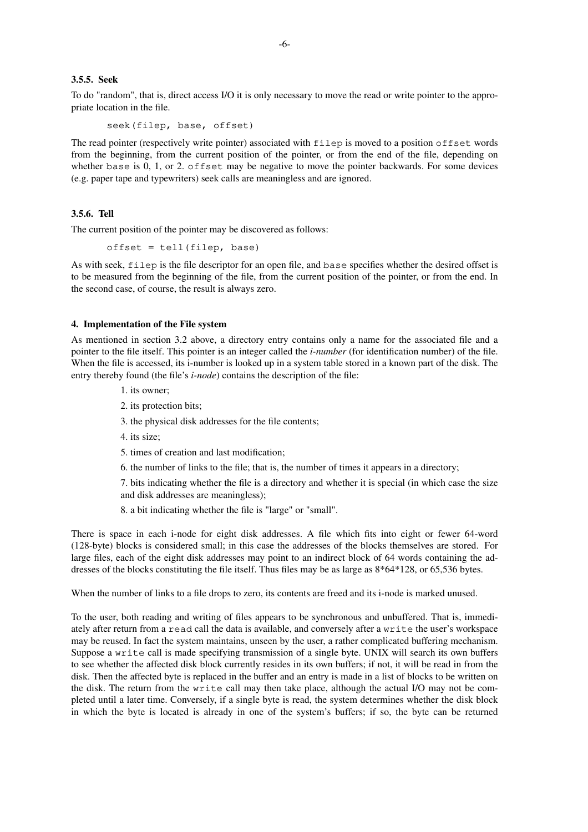### **3.5.5. Seek**

To do "random", that is, direct access I/O it is only necessary to move the read or write pointer to the appropriate location in the file.

seek(filep, base, offset)

The read pointer (respectively write pointer) associated with filep is moved to a position offset words from the beginning, from the current position of the pointer, or from the end of the file, depending on whether base is 0, 1, or 2. offset may be negative to move the pointer backwards. For some devices (e.g. paper tape and typewriters) seek calls are meaningless and are ignored.

### **3.5.6. Tell**

The current position of the pointer may be discovered as follows:

offset = tell(filep, base)

As with seek, filep is the file descriptor for an open file, and base specifies whether the desired offset is to be measured from the beginning of the file, from the current position of the pointer, or from the end. In the second case, of course, the result is always zero.

#### **4. Implementation of the File system**

As mentioned in section 3.2 above, a directory entry contains only a name for the associated file and a pointer to the file itself. This pointer is an integer called the *i-number* (for identification number) of the file. When the file is accessed, its i-number is looked up in a system table stored in a known part of the disk. The entry thereby found (the file's *i-node*) contains the description of the file:

- 1. its owner;
- 2. its protection bits;
- 3. the physical disk addresses for the file contents;
- 4. its size;
- 5. times of creation and last modification;
- 6. the number of links to the file; that is, the number of times it appears in a directory;

7. bits indicating whether the file is a directory and whether it is special (in which case the size and disk addresses are meaningless);

8. a bit indicating whether the file is "large" or "small".

There is space in each i-node for eight disk addresses. A file which fits into eight or fewer 64-word (128-byte) blocks is considered small; in this case the addresses of the blocks themselves are stored. For large files, each of the eight disk addresses may point to an indirect block of 64 words containing the addresses of the blocks constituting the file itself. Thus files may be as large as 8\*64\*128, or 65,536 bytes.

When the number of links to a file drops to zero, its contents are freed and its i-node is marked unused.

To the user, both reading and writing of files appears to be synchronous and unbuffered. That is, immediately after return from a read call the data is available, and conversely after a write the user's workspace may be reused. In fact the system maintains, unseen by the user, a rather complicated buffering mechanism. Suppose a write call is made specifying transmission of a single byte. UNIX will search its own buffers to see whether the affected disk block currently resides in its own buffers; if not, it will be read in from the disk. Then the affected byte is replaced in the buffer and an entry is made in a list of blocks to be written on the disk. The return from the write call may then take place, although the actual I/O may not be completed until a later time. Conversely, if a single byte is read, the system determines whether the disk block in which the byte is located is already in one of the system's buffers; if so, the byte can be returned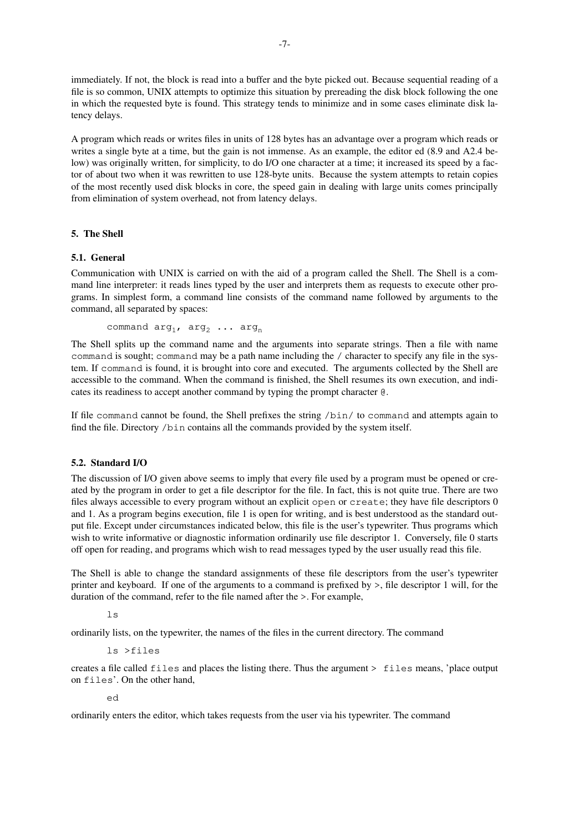immediately. If not, the block is read into a buffer and the byte picked out. Because sequential reading of a file is so common, UNIX attempts to optimize this situation by prereading the disk block following the one in which the requested byte is found. This strategy tends to minimize and in some cases eliminate disk latency delays.

A program which reads or writes files in units of 128 bytes has an advantage overaprogram which reads or writes a single byte at a time, but the gain is not immense. As an example, the editor ed (8.9 and A2.4 below) was originally written, for simplicity, to do I/O one character at a time; it increased its speed by a factor of about two when it was rewritten to use 128-byte units. Because the system attempts to retain copies of the most recently used disk blocks in core, the speed gain in dealing with large units comes principally from elimination of system overhead, not from latency delays.

## **5. The Shell**

### **5.1. General**

Communication with UNIX is carried on with the aid of a program called the Shell. The Shell is a command line interpreter: it reads lines typed by the user and interprets them as requests to execute other programs. In simplest form, a command line consists of the command name followed by arguments to the command, all separated by spaces:

command  $arg_1$ ,  $arg_2$  ...  $arg_n$ 

The Shell splits up the command name and the arguments into separate strings. Then a file with name command is sought; command may be a path name including the / character to specify any file in the system. If command is found, it is brought into core and executed. The arguments collected by the Shell are accessible to the command. When the command is finished, the Shell resumes its own execution, and indicates its readiness to accept another command by typing the prompt character @.

If file command cannot be found, the Shell prefixes the string /bin/ to command and attempts again to find the file. Directory /bin contains all the commands provided by the system itself.

### **5.2. Standard I/O**

The discussion of I/O given above seems to imply that every file used by a program must be opened or created by the program in order to get a file descriptor for the file. In fact, this is not quite true. There are two files always accessible to every program without an explicit open or create; they have file descriptors 0 and 1. As a program begins execution, file 1 is open for writing, and is best understood as the standard output file. Except under circumstances indicated below, this file is the user's typewriter. Thus programs which wish to write informative or diagnostic information ordinarily use file descriptor 1. Conversely, file 0 starts off open for reading, and programs which wish to read messages typed by the user usually read this file.

The Shell is able to change the standard assignments of these file descriptors from the user's typewriter printer and keyboard. If one of the arguments to a command is prefixed by >, file descriptor 1 will, for the duration of the command, refer to the file named after the >. For example,

 $\overline{1}$  c

ordinarily lists, on the typewriter, the names of the files in the current directory. The command

```
ls >files
```
creates a file called files and places the listing there. Thus the argument > files means, 'place output on files'. On the other hand,

ed

ordinarily enters the editor, which takes requests from the user via his typewriter. The command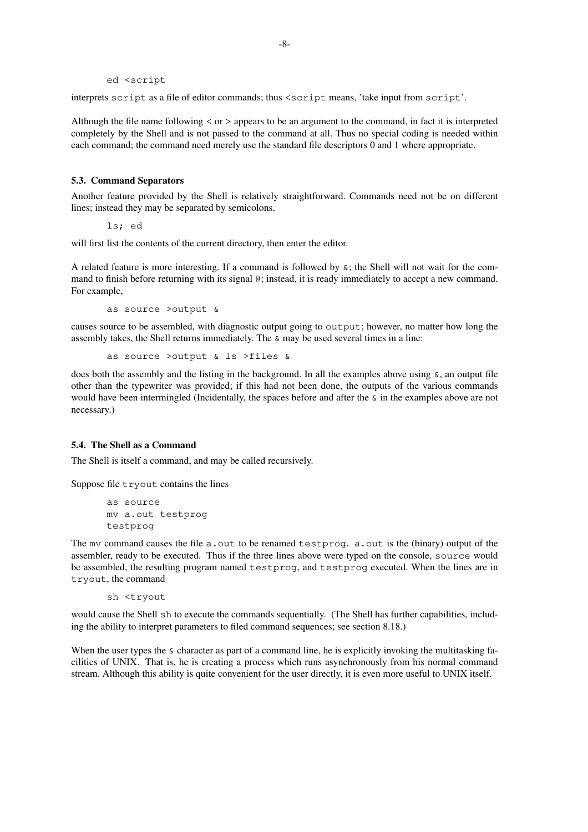ed <script

interprets script as a file of editor commands; thus <script means, 'take input from script'.

Although the file name following < or > appears to be an argument to the command, in fact it is interpreted completely by the Shell and is not passed to the command at all. Thus no special coding is needed within each command; the command need merely use the standard file descriptors 0 and 1 where appropriate.

# **5.3. Command Separators**

Another feature provided by the Shell is relatively straightforward. Commands need not be on different lines; instead they may be separated by semicolons.

ls; ed

will first list the contents of the current directory, then enter the editor.

A related feature is more interesting. If a command is followed by  $\varepsilon$ ; the Shell will not wait for the command to finish before returning with its signal @; instead, it is ready immediately to accept a new command. For example,

as source >output &

causes source to be assembled, with diagnostic output going to output; however, no matter how long the assembly takes, the Shell returns immediately. The & may be used several times in a line:

as source >output & ls >files &

does both the assembly and the listing in the background. In all the examples above using  $\&\&$ , an output file other than the typewriter was provided; if this had not been done, the outputs of the various commands would have been intermingled (Incidentally, the spaces before and after the  $\epsilon$  in the examples above are not necessary.)

### **5.4. The Shell as a Command**

The Shell is itself a command, and may be called recursively.

Suppose file tryout contains the lines

as source mv a.out testprog testprog

The mv command causes the file  $a$ . out to be renamed testprog.  $a$ . out is the (binary) output of the assembler, ready to be executed. Thus if the three lines above were typed on the console, source would be assembled, the resulting program named testprog, and testprog executed. When the lines are in tryout, the command

sh <tryout

would cause the Shell sh to execute the commands sequentially. (The Shell has further capabilities, including the ability to interpret parameters to filed command sequences; see section 8.18.)

When the user types the  $\&$  character as part of a command line, he is explicitly invoking the multitasking facilities of UNIX. That is, he is creating a process which runs asynchronously from his normal command stream. Although this ability is quite convenient for the user directly, it is even more useful to UNIX itself.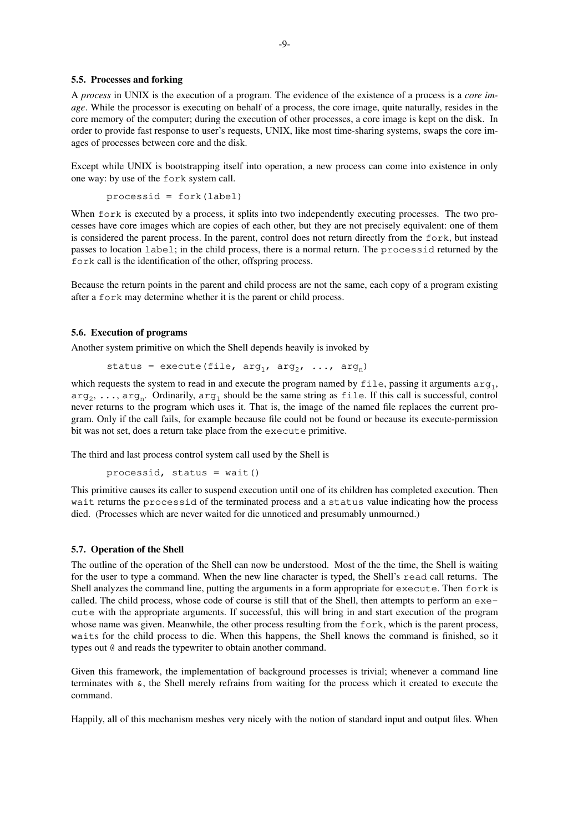### **5.5. Processes and forking**

A *process* in UNIX is the execution of a program. The evidence of the existence of a process is a *core image*. While the processor is executing on behalf of a process, the core image, quite naturally, resides in the core memory of the computer; during the execution of other processes, a core image is kept on the disk. In order to provide fast response to user's requests, UNIX, like most time-sharing systems, swaps the core images of processes between core and the disk.

Except while UNIX is bootstrapping itself into operation, a new process can come into existence in only one way: by use of the fork system call.

```
processid = fork(label)
```
When fork is executed by a process, it splits into two independently executing processes. The two processes have core images which are copies of each other, but they are not precisely equivalent: one of them is considered the parent process. In the parent, control does not return directly from the fork, but instead passes to location label; in the child process, there is a normal return. The processid returned by the fork call is the identification of the other, offspring process.

Because the return points in the parent and child process are not the same, each copy of a program existing after a fork may determine whether it is the parent or child process.

### **5.6. Execution of programs**

Another system primitive on which the Shell depends heavily is invoked by

```
status = execute(file, arg_1, arg_2, ..., arg_n)
```
which requests the system to read in and execute the program named by  $file$ , passing it arguments  $arg_1$ ,  $\arg_2, \dots, \arg_n$ . Ordinarily,  $\arg_1$  should be the same string as file. If this call is successful, control never returns to the program which uses it. That is, the image of the named file replaces the current program. Only if the call fails, for example because file could not be found or because its execute-permission bit was not set, does a return take place from the execute primitive.

The third and last process control system call used by the Shell is

```
processid, status = wait()
```
This primitive causes its caller to suspend execution until one of its children has completed execution. Then wait returns the processid of the terminated process and a status value indicating how the process died. (Processes which are never waited for die unnoticed and presumably unmourned.)

### **5.7. Operation of the Shell**

The outline of the operation of the Shell can now be understood. Most of the the time, the Shell is waiting for the user to type a command. When the new line character is typed, the Shell's read call returns. The Shell analyzes the command line, putting the arguments in a form appropriate for execute. Then fork is called. The child process, whose code of course is still that of the Shell, then attempts to perform an execute with the appropriate arguments. If successful, this will bring in and start execution of the program whose name was given. Meanwhile, the other process resulting from the fork, which is the parent process, waits for the child process to die. When this happens, the Shell knows the command is finished, so it types out @ and reads the typewriter to obtain another command.

Given this framework, the implementation of background processes is trivial; whenever a command line terminates with  $\alpha$ , the Shell merely refrains from waiting for the process which it created to execute the command.

Happily, all of this mechanism meshes very nicely with the notion of standard input and output files. When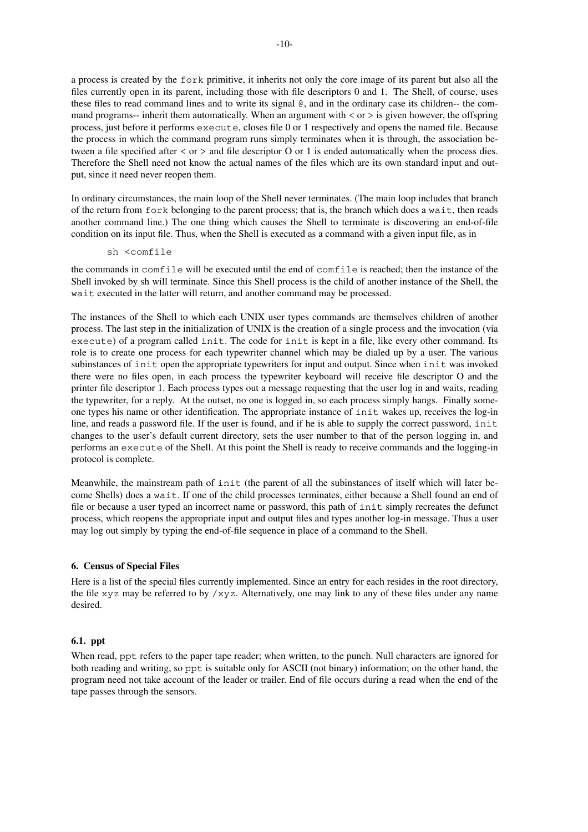a process is created by the fork primitive, it inherits not only the core image of its parent but also all the files currently open in its parent, including those with file descriptors 0 and 1. The Shell, of course, uses these files to read command lines and to write its signal @, and in the ordinary case its children-- the command programs-- inherit them automatically. When an argument with  $\langle$  or  $\rangle$  is given however, the offspring process, just before it performs execute, closes file 0 or 1 respectively and opens the named file. Because the process in which the command program runs simply terminates when it is through, the association between a file specified after < or > and file descriptor O or 1 is ended automatically when the process dies. Therefore the Shell need not know the actual names of the files which are its own standard input and output, since it need never reopen them.

In ordinary circumstances, the main loop of the Shell never terminates. (The main loop includes that branch of the return from fork belonging to the parent process; that is, the branch which does a wait, then reads another command line.) The one thing which causes the Shell to terminate is discovering an end-of-file condition on its input file. Thus, when the Shell is executed as a command with a given input file, as in

sh <comfile

the commands in comfile will be executed until the end of comfile is reached; then the instance of the Shell invoked by sh will terminate. Since this Shell process is the child of another instance of the Shell, the wait executed in the latter will return, and another command may be processed.

The instances of the Shell to which each UNIX user types commands are themselves children of another process. The last step in the initialization of UNIX is the creation of a single process and the invocation (via execute) of a program called init. The code for init is kept in a file, like every other command. Its role is to create one process for each typewriter channel which may be dialed up by a user. The various subinstances of init open the appropriate typewriters for input and output. Since when init was invoked there were no files open, in each process the typewriter keyboard will receive file descriptor O and the printer file descriptor 1. Each process types out a message requesting that the user log in and waits, reading the typewriter, for a reply. At the outset, no one is logged in, so each process simply hangs. Finally someone types his name or other identification. The appropriate instance of init wakes up, receives the log-in line, and reads a password file. If the user is found, and if he is able to supply the correct password, init changes to the user's default current directory, sets the user number to that of the person logging in, and performs an execute of the Shell. At this point the Shell is ready to receive commands and the logging-in protocol is complete.

Meanwhile, the mainstream path of init (the parent of all the subinstances of itself which will later become Shells) does a wait. If one of the child processes terminates, either because a Shell found an end of file or because a user typed an incorrect name or password, this path of init simply recreates the defunct process, which reopens the appropriate input and output files and types another log-in message. Thus a user may log out simply by typing the end-of-file sequence in place of a command to the Shell.

#### **6. Census of Special Files**

Here is a list of the special files currently implemented. Since an entry for each resides in the root directory, the file xyz may be referred to by  $\ell$ xyz. Alternatively, one may link to any of these files under any name desired.

### **6.1. ppt**

When read, ppt refers to the paper tape reader; when written, to the punch. Null characters are ignored for both reading and writing, so ppt is suitable only for ASCII (not binary) information; on the other hand, the program need not take account of the leader or trailer. End of file occurs during a read when the end of the tape passes through the sensors.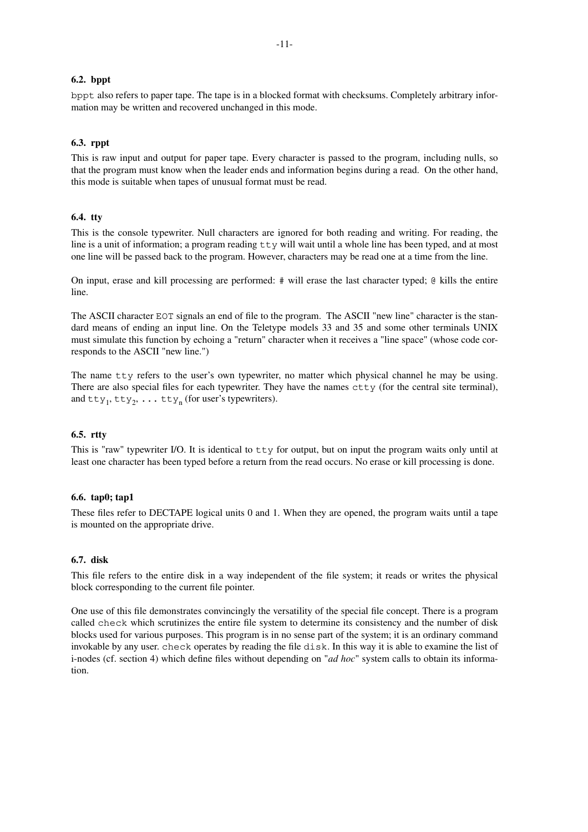### **6.2. bppt**

bppt also refers to paper tape. The tape is in a blocked format with checksums. Completely arbitrary information may be written and recovered unchanged in this mode.

## **6.3. rppt**

This is raw input and output for paper tape. Every character is passed to the program, including nulls, so that the program must know when the leader ends and information begins during a read. On the other hand, this mode is suitable when tapes of unusual format must be read.

# **6.4. tty**

This is the console typewriter. Null characters are ignored for both reading and writing. For reading, the line is a unit of information; a program reading  $tty$  will wait until a whole line has been typed, and at most one line will be passed back to the program. However, characters may be read one at a time from the line.

On input, erase and kill processing are performed: # will erase the last character typed; @ kills the entire line.

The ASCII character EOT signals an end of file to the program. The ASCII "new line" character is the standard means of ending an input line. On the Teletype models 33 and 35 and some other terminals UNIX must simulate this function by echoing a "return" character when it receives a "line space" (whose code corresponds to the ASCII "new line.")

The name tty refers to the user's own typewriter, no matter which physical channel he may be using. There are also special files for each typewriter. They have the names  $ctty$  (for the central site terminal), and  $\text{tty}_1, \text{tty}_2, \ldots \text{tty}_n$  (for user's typewriters).

#### **6.5. rtty**

This is "raw" typewriter I/O. It is identical to tty for output, but on input the program waits only until at least one character has been typed before a return from the read occurs. No erase or kill processing is done.

### **6.6. tap0; tap1**

These files refer to DECTAPE logical units 0 and 1. When they are opened, the program waits until a tape is mounted on the appropriate drive.

### **6.7. disk**

This file refers to the entire disk in a way independent of the file system; it reads or writes the physical block corresponding to the current file pointer.

One use of this file demonstrates convincingly the versatility of the special file concept. There is a program called check which scrutinizes the entire file system to determine its consistency and the number of disk blocks used for various purposes. This program is in no sense part of the system; it is an ordinary command invokable by any user. check operates by reading the file disk. In this way it is able to examine the list of i-nodes (cf. section 4) which define files without depending on "*ad hoc*" system calls to obtain its information.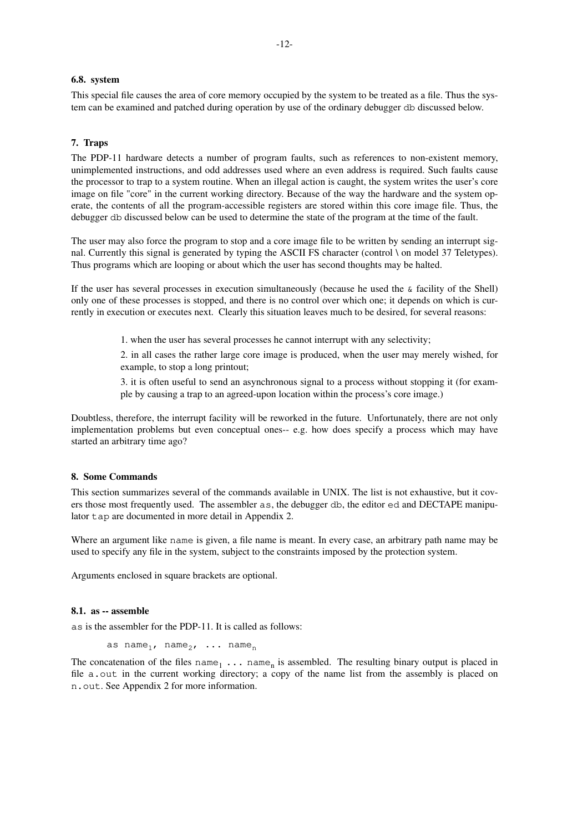### **6.8. system**

This special file causes the area of core memory occupied by the system to be treated as a file. Thus the system can be examined and patched during operation by use of the ordinary debugger db discussed below.

### **7. Traps**

The PDP-11 hardware detects a number of program faults, such as references to non-existent memory, unimplemented instructions, and odd addresses used where an even address is required. Such faults cause the processor to trap to a system routine. When an illegal action is caught, the system writes the user's core image on file "core" in the current working directory. Because of the way the hardware and the system operate, the contents of all the program-accessible registers are stored within this core image file. Thus, the debugger db discussed below can be used to determine the state of the program at the time of the fault.

The user may also force the program to stop and a core image file to be written by sending an interrupt signal. Currently this signal is generated by typing the ASCII FS character (control \ on model 37 Teletypes). Thus programs which are looping or about which the user has second thoughts may be halted.

If the user has several processes in execution simultaneously (because he used the  $\&$  facility of the Shell) only one of these processes is stopped, and there is no control over which one; it depends on which is currently in execution or executes next. Clearly this situation leaves much to be desired, for several reasons:

1. when the user has several processes he cannot interrupt with any selectivity;

2. in all cases the rather large core image is produced, when the user may merely wished, for example, to stop a long printout;

3. it is often useful to send an asynchronous signal to a process without stopping it (for example by causing a trap to an agreed-upon location within the process's core image.)

Doubtless, therefore, the interrupt facility will be reworked in the future. Unfortunately, there are not only implementation problems but even conceptual ones-- e.g. how does specify a process which may have started an arbitrary time ago?

### **8. Some Commands**

This section summarizes several of the commands available in UNIX. The list is not exhaustive, but it covers those most frequently used. The assembler as, the debugger db, the editor ed and DECTAPE manipulator tap are documented in more detail in Appendix 2.

Where an argument like name is given, a file name is meant. In every case, an arbitrary path name may be used to specify any file in the system, subject to the constraints imposed by the protection system.

Arguments enclosed in square brackets are optional.

### **8.1. as -- assemble**

as is the assembler for the PDP-11. It is called as follows:

```
as name<sub>1</sub>, name<sub>2</sub>, ... name<sub>n</sub>
```
The concatenation of the files  $name_1 \ldots name_n$  is assembled. The resulting binary output is placed in file a.out in the current working directory; a copy of the name list from the assembly is placed on n.out. See Appendix 2 for more information.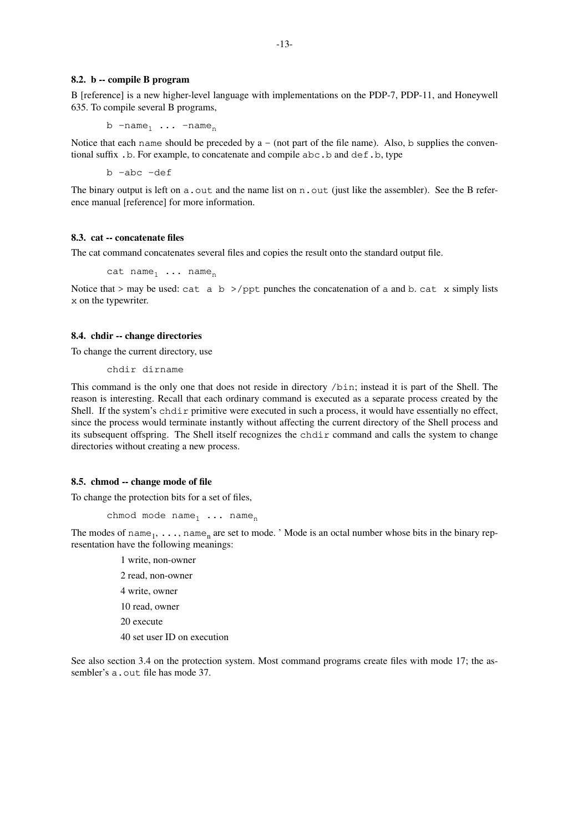#### **8.2. b -- compile B program**

B [reference] is a new higher-level language with implementations on the PDP-7, PDP-11, and Honeywell 635. To compile several B programs,

b  $-name_1 \ldots$   $-name_n$ 

Notice that each name should be preceded by  $a - (not part of the file name)$ . Also, b supplies the conventional suffix .b. For example, to concatenate and compile abc.b and def.b, type

b -abc -def

The binary output is left on a. out and the name list on n. out (just like the assembler). See the B reference manual [reference] for more information.

#### **8.3. cat -- concatenate files**

The cat command concatenates several files and copies the result onto the standard output file.

cat name<sub>1</sub> ... name<sub>n</sub>

Notice that > may be used: cat a b >/ppt punches the concatenation of a and b. cat x simply lists x on the typewriter.

#### **8.4. chdir -- change directories**

To change the current directory, use

chdir dirname

This command is the only one that does not reside in directory /bin; instead it is part of the Shell. The reason is interesting. Recall that each ordinary command is executed as a separate process created by the Shell. If the system's chdir primitive were executed in such a process, it would have essentially no effect, since the process would terminate instantly without affecting the current directory of the Shell process and its subsequent offspring. The Shell itself recognizes the chdir command and calls the system to change directories without creating a new process.

#### **8.5. chmod -- change mode of file**

To change the protection bits for a set of files,

```
chmod mode name_1 ... name<sub>n</sub>
```
The modes of name<sub>1</sub>, ..., name<sub>n</sub> are set to mode. ' Mode is an octal number whose bits in the binary representation have the following meanings:

> 1 write, non-owner 2 read, non-owner 4 write, owner 10 read, owner 20 execute 40 set user ID on execution

See also section 3.4 on the protection system. Most command programs create files with mode 17; the assembler's a.out file has mode 37.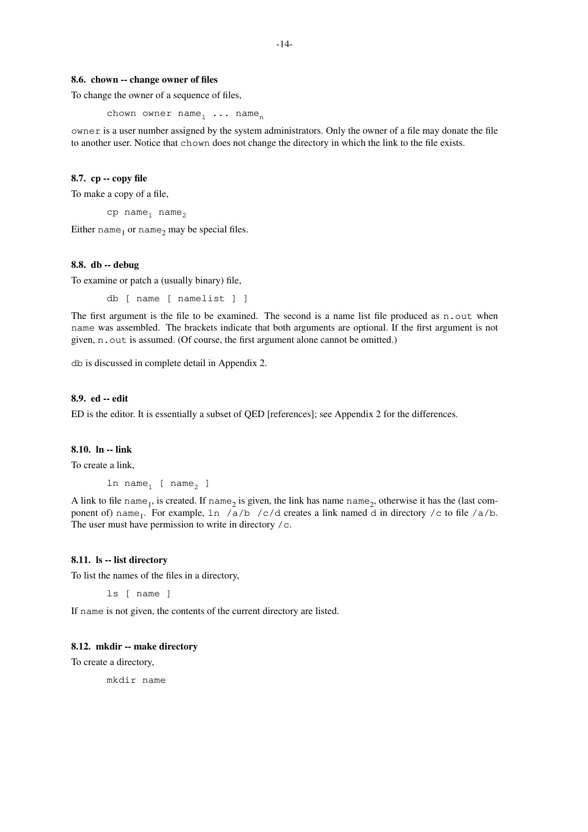#### **8.6. chown -- change owner of files**

To change the owner of a sequence of files,

chown owner  $name_1$  ... name<sub>n</sub>

owner is a user number assigned by the system administrators. Only the owner of a file may donate the file to another user. Notice that chown does not change the directory in which the link to the file exists.

# **8.7. cp -- copy file**

To make a copy of a file,

 $cp$  name<sub>1</sub> name<sub>2</sub>

Either  $name_1$  or  $name_2$  may be special files.

#### **8.8. db -- debug**

To examine or patch a (usually binary) file,

db [ name [ namelist ] ]

The first argument is the file to be examined. The second is a name list file produced as n.out when name was assembled. The brackets indicate that both arguments are optional. If the first argument is not given, n.out is assumed. (Of course, the first argument alone cannot be omitted.)

db is discussed in complete detail in Appendix 2.

#### **8.9. ed -- edit**

ED is the editor. It is essentially a subset of QED [references]; see Appendix 2 for the differences.

# **8.10. ln -- link**

To create a link,

ln name<sub>1</sub> [ name<sub>2</sub> ]

A link to file name<sub>1</sub>, is created. If name<sub>2</sub> is given, the link has name name<sub>2</sub>, otherwise it has the (last component of) name<sub>1</sub>. For example,  $\ln$  /a/b /c/d creates a link named d in directory /c to file /a/b. The user must have permission to write in directory  $/c$ .

#### **8.11. ls -- list directory**

To list the names of the files in a directory,

ls [ name ]

If name is not given, the contents of the current directory are listed.

### **8.12. mkdir -- make directory**

To create a directory,

mkdir name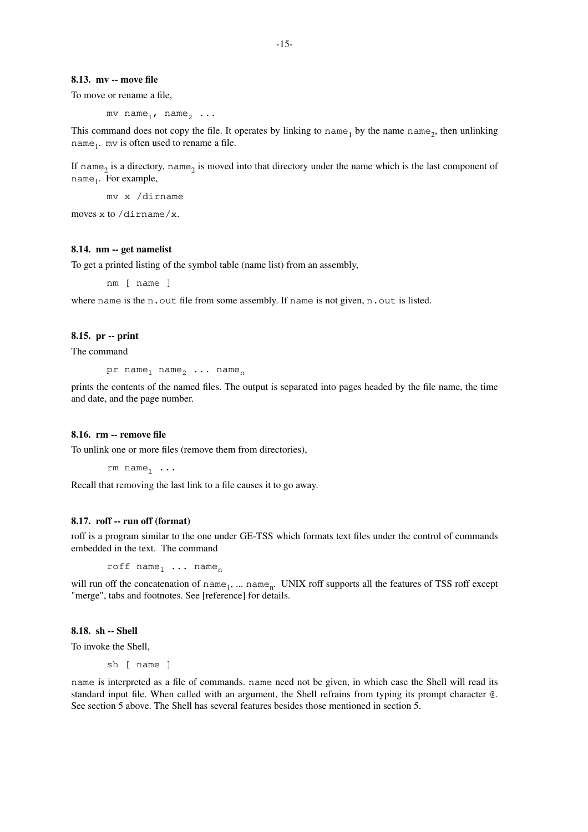#### **8.13. mv -- move file**

To move or rename a file,

mv name<sub>1</sub>, name<sub>2</sub> ...

This command does not copy the file. It operates by linking to  $name_1$  by the name  $name_2$ , then unlinking name<sub>1</sub>. mv is often used to rename a file.

If name<sub>2</sub> is a directory, name<sub>2</sub> is moved into that directory under the name which is the last component of name<sub>1</sub>. For example,

mv x /dirname

moves x to /dirname/x.

### **8.14. nm -- get namelist**

To get a printed listing of the symbol table (name list) from an assembly,

nm [ name ]

where name is the n.out file from some assembly. If name is not given, n.out is listed.

### **8.15. pr -- print**

The command

pr name<sub>1</sub> name<sub>2</sub> ... name<sub>n</sub>

prints the contents of the named files. The output is separated into pages headed by the file name, the time and date, and the page number.

### **8.16. rm -- remove file**

To unlink one or more files (remove them from directories),

rm  $name_1 \ldots$ 

Recall that removing the last link to a file causes it to go away.

#### **8.17. roff -- run off (format)**

roff is a program similar to the one under GE-TSS which formats text files under the control of commands embedded in the text. The command

roff  $name_1$  ...  $name_n$ 

will run off the concatenation of name<sub>1</sub>, ... name<sub>n</sub>. UNIX roff supports all the features of TSS roff except "merge", tabs and footnotes. See [reference] for details.

## **8.18. sh -- Shell**

To invoke the Shell.

sh [ name ]

name is interpreted as a file of commands. name need not be given, in which case the Shell will read its standard input file. When called with an argument, the Shell refrains from typing its prompt character @. See section 5 above. The Shell has several features besides those mentioned in section 5.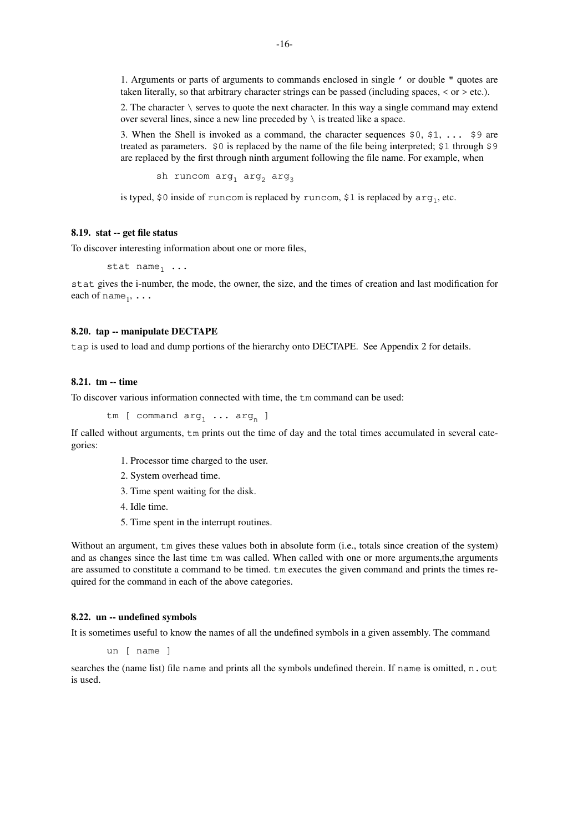1. Arguments or parts of arguments to commands enclosed in single ' or double " quotes are taken literally, so that arbitrary character strings can be passed (including spaces, < or > etc.).

2. The character  $\setminus$  serves to quote the next character. In this way a single command may extend over several lines, since a new line preceded by  $\setminus$  is treated like a space.

3. When the Shell is invoked as a command, the character sequences  $\frac{50}{51}$ , ...  $\frac{59}{51}$  are treated as parameters. \$0 is replaced by the name of the file being interpreted; \$1 through \$9 are replaced by the first through ninth argument following the file name. For example, when

sh runcom  $arg_1 arg_2 arg_3$ 

is typed, \$0 inside of runcom is replaced by runcom, \$1 is replaced by  $\arg_1,$  etc.

# **8.19. stat -- get file status**

To discover interesting information about one or more files,

```
stat name_1 ...
```
stat gives the i-number, the mode, the owner, the size, and the times of creation and last modification for each of  $name_1, \ldots$ 

### **8.20. tap -- manipulate DECTAPE**

tap is used to load and dump portions of the hierarchy onto DECTAPE. See Appendix 2 for details.

### **8.21. tm -- time**

To discover various information connected with time, the tm command can be used:

tm [ command  $arg_1 \ldots arg_n$  ]

If called without arguments, tm prints out the time of day and the total times accumulated in several categories:

- 1. Processor time charged to the user.
- 2. System overhead time.
- 3. Time spent waiting for the disk.
- 4. Idle time.
- 5. Time spent in the interrupt routines.

Without an argument,  $\text{t}$  m gives these values both in absolute form (i.e., totals since creation of the system) and as changes since the last time  $tm$  was called. When called with one or more arguments, the arguments are assumed to constitute a command to be timed. tm executes the given command and prints the times required for the command in each of the above categories.

#### **8.22. un -- undefined symbols**

It is sometimes useful to know the names of all the undefined symbols in a given assembly. The command

un [ name ]

searches the (name list) file name and prints all the symbols undefined therein. If name is omitted, n. out is used.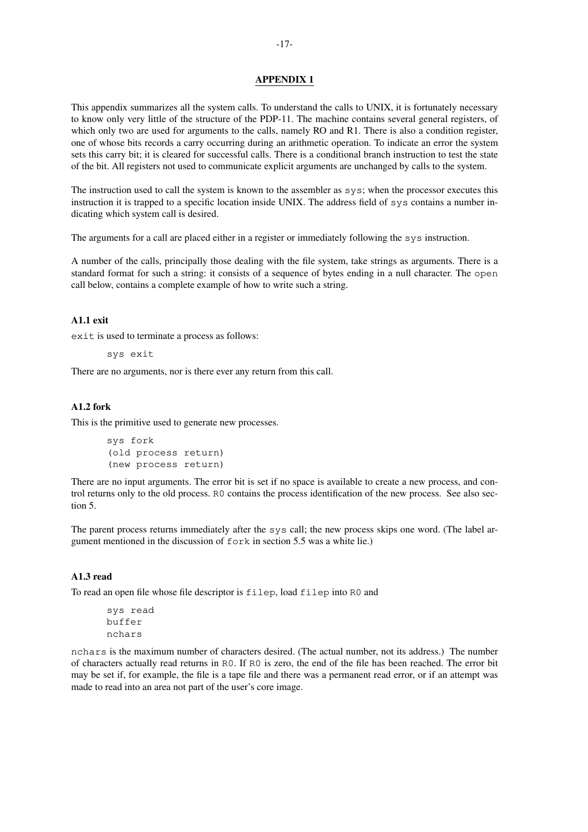### **APPENDIX 1**

This appendix summarizes all the system calls. To understand the calls to UNIX, it is fortunately necessary to know only very little of the structure of the PDP-11. The machine contains several general registers, of which only two are used for arguments to the calls, namely RO and R1. There is also a condition register, one of whose bits records a carry occurring during an arithmetic operation. To indicate an error the system sets this carry bit; it is cleared for successful calls. There is a conditional branch instruction to test the state of the bit. All registers not used to communicate explicit arguments are unchanged by calls to the system.

The instruction used to call the system is known to the assembler as sys; when the processor executes this instruction it is trapped to a specific location inside UNIX. The address field of sys contains a number indicating which system call is desired.

The arguments for a call are placed either in a register or immediately following the sys instruction.

A number of the calls, principally those dealing with the file system, take strings as arguments. There is a standard format for such a string: it consists of a sequence of bytes ending in a null character. The open call below, contains a complete example of how to write such a string.

# **A1.1 exit**

exit is used to terminate a process as follows:

sys exit

There are no arguments, nor is there ever any return from this call.

### **A1.2 fork**

This is the primitive used to generate new processes.

```
sys fork
(old process return)
(new process return)
```
There are no input arguments. The error bit is set if no space is available to create a new process, and control returns only to the old process. R0 contains the process identification of the new process. See also section 5.

The parent process returns immediately after the sys call; the new process skips one word. (The label argument mentioned in the discussion of fork in section 5.5 was a white lie.)

# **A1.3 read**

To read an open file whose file descriptor is filep, load filep into R0 and

sys read buffer nchars

nchars is the maximum number of characters desired. (The actual number, not its address.) The number of characters actually read returns in R0. If R0 is zero, the end of the file has been reached. The error bit may be set if, for example, the file is a tape file and there was a permanent read error, or if an attempt was made to read into an area not part of the user's core image.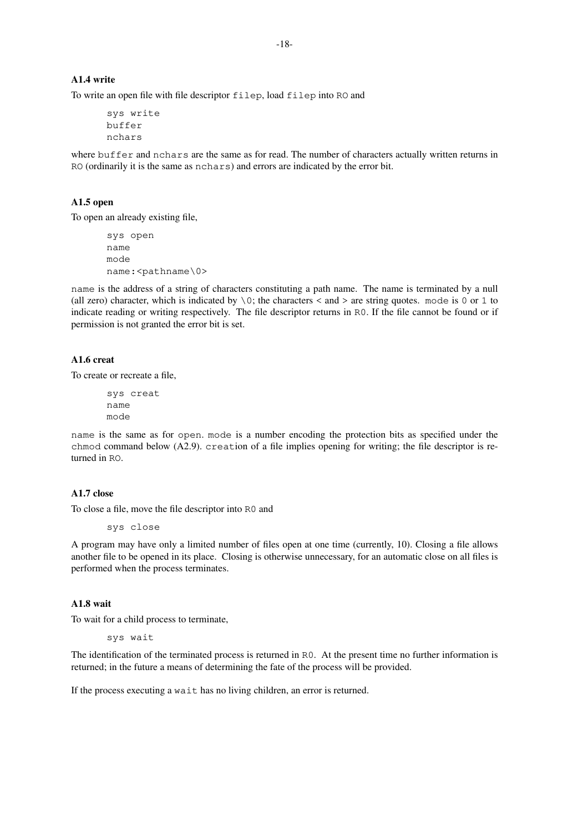### **A1.4 write**

To write an open file with file descriptor filep, load filep into RO and

```
sys write
buffer
nchars
```
where buffer and nchars are the same as for read. The number of characters actually written returns in RO (ordinarily it is the same as nchars) and errors are indicated by the error bit.

#### **A1.5 open**

To open an already existing file,

sys open name mode name:<pathname\0>

name is the address of a string of characters constituting a path name. The name is terminated by a null (all zero) character, which is indicated by  $\setminus 0$ ; the characters < and > are string quotes. mode is 0 or 1 to indicate reading or writing respectively. The file descriptor returns in R0. If the file cannot be found or if permission is not granted the error bit is set.

### **A1.6 creat**

To create or recreate a file,

```
sys creat
name
mode
```
name is the same as for open. mode is a number encoding the protection bits as specified under the chmod command below (A2.9). creation of a file implies opening for writing; the file descriptor is returned in RO.

# **A1.7 close**

To close a file, move the file descriptor into R0 and

sys close

A program may have only a limited number of files open at one time (currently, 10). Closing a file allows another file to be opened in its place. Closing is otherwise unnecessary, for an automatic close on all files is performed when the process terminates.

### **A1.8 wait**

To wait for a child process to terminate,

sys wait

The identification of the terminated process is returned in R0. At the present time no further information is returned; in the future a means of determining the fate of the process will be provided.

If the process executing a wait has no living children, an error is returned.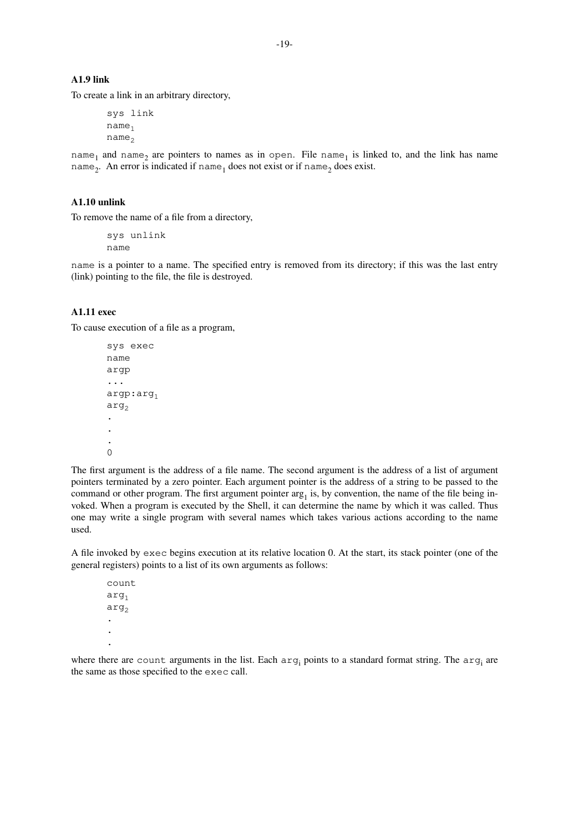# **A1.9 link**

To create a link in an arbitrary directory,

sys link  $name_1$  $name_{2}$ 

name<sub>1</sub> and name<sub>2</sub> are pointers to names as in open. File name<sub>1</sub> is linked to, and the link has name name<sub>2</sub>. An error is indicated if  $\mathtt{name}_1$  does not exist or if  $\mathtt{name}_2$  does exist.

### **A1.10 unlink**

To remove the name of a file from a directory,

sys unlink name

name is a pointer to a name. The specified entry is removed from its directory; if this was the last entry (link) pointing to the file, the file is destroyed.

# **A1.11 exec**

To cause execution of a file as a program,

```
sys exec
name
argp
...
argp:arg1
arg<sub>2</sub>.
.
.
0
```
The first argument is the address of a file name. The second argument is the address of a list of argument pointers terminated by a zero pointer. Each argument pointer is the address of a string to be passed to the command or other program. The first argument pointer  $\arg_1$  is, by convention, the name of the file being invoked. When a program is executed by the Shell, it can determine the name by which it was called. Thus one may write a single program with several names which takes various actions according to the name used.

A file invoked by exec begins execution at its relative location 0. At the start, its stack pointer (one of the general registers) points to a list of its own arguments as follows:

count  $arg_1$  $arg_2$ . . .

where there are count arguments in the list. Each  $arg$ <sub>i</sub> points to a standard format string. The  $arg$ <sub>i</sub> are the same as those specified to the exec call.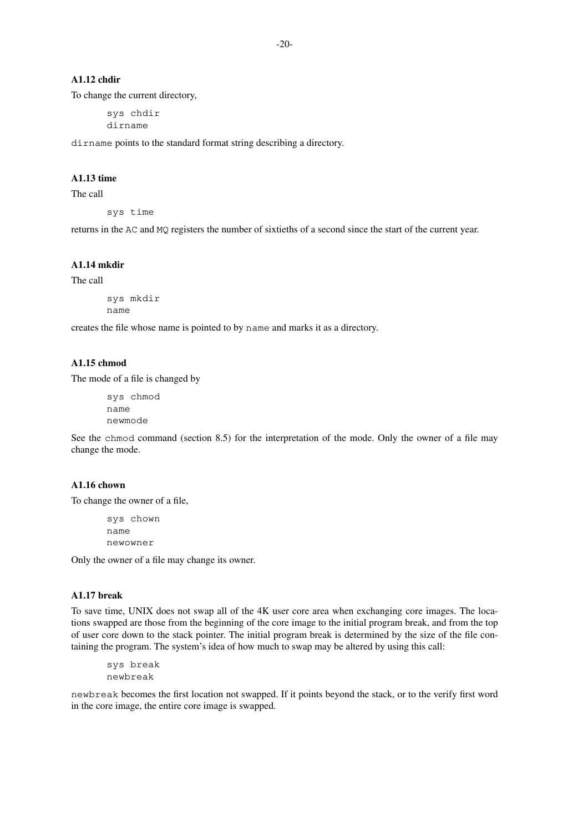# **A1.12 chdir**

To change the current directory,

sys chdir dirname

dirname points to the standard format string describing a directory.

# **A1.13 time**

The call

sys time

returns in the AC and MQ registers the number of sixtieths of a second since the start of the current year.

# **A1.14 mkdir**

The call

```
sys mkdir
name
```
creates the file whose name is pointed to by name and marks it as a directory.

# **A1.15 chmod**

The mode of a file is changed by

```
sys chmod
name
newmode
```
See the chmod command (section 8.5) for the interpretation of the mode. Only the owner of a file may change the mode.

# **A1.16 chown**

To change the owner of a file,

```
sys chown
name
newowner
```
Only the owner of a file may change its owner.

### **A1.17 break**

To save time, UNIX does not swap all of the 4K user core area when exchanging core images. The locations swapped are those from the beginning of the core image to the initial program break, and from the top of user core down to the stack pointer. The initial program break is determined by the size of the file containing the program. The system's idea of how much to swap may be altered by using this call:

```
sys break
newbreak
```
newbreak becomes the first location not swapped. If it points beyond the stack, or to the verify first word in the core image, the entire core image is swapped.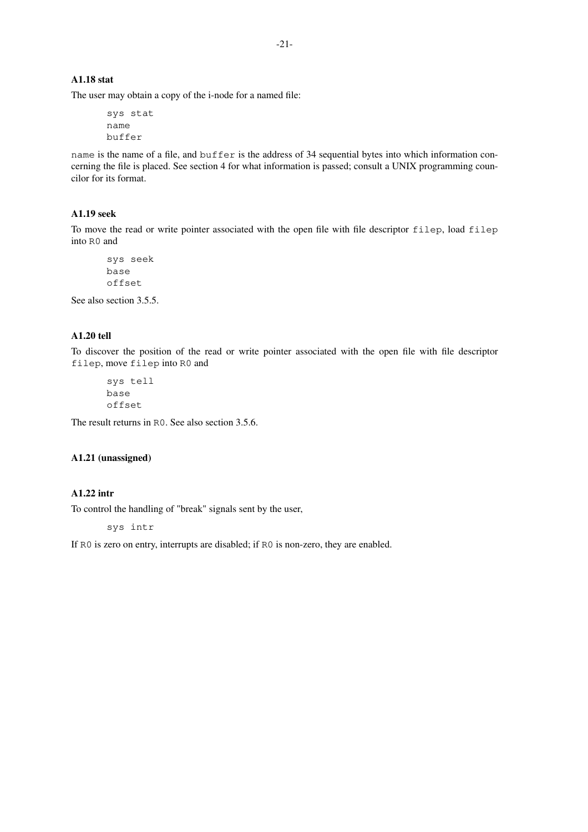# **A1.18 stat**

The user may obtain a copy of the i-node for a named file:

```
sys stat
name
buffer
```
name is the name of a file, and buffer is the address of 34 sequential bytes into which information concerning the file is placed. See section 4 for what information is passed; consult a UNIX programming councilor for its format.

# **A1.19 seek**

To move the read or write pointer associated with the open file with file descriptor filep, load filep into R0 and

```
sys seek
base
offset
```
See also section 3.5.5.

# **A1.20 tell**

To discover the position of the read or write pointer associated with the open file with file descriptor filep, move filep into R0 and

sys tell base offset

The result returns in R0. See also section 3.5.6.

# **A1.21 (unassigned)**

# **A1.22 intr**

To control the handling of "break" signals sent by the user,

sys intr

If R0 is zero on entry, interrupts are disabled; if R0 is non-zero, they are enabled.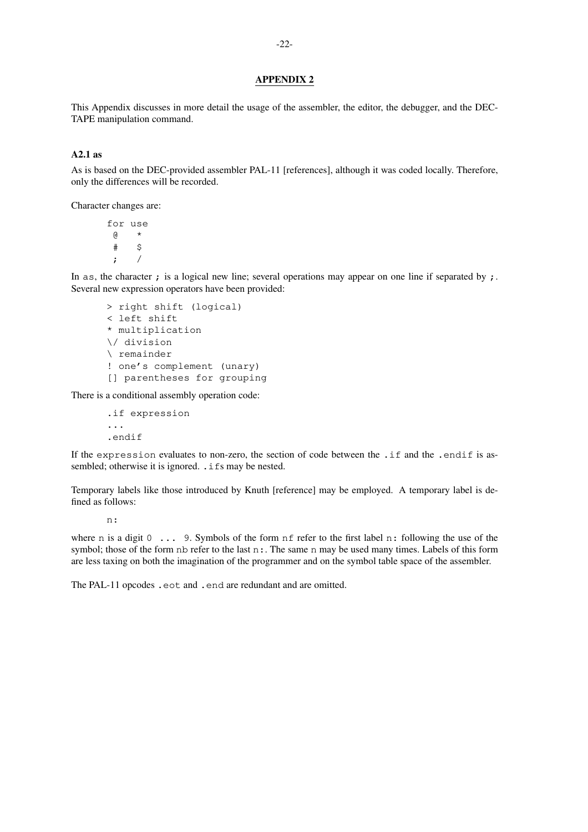### **APPENDIX 2**

This Appendix discusses in more detail the usage of the assembler, the editor, the debugger, and the DEC-TAPE manipulation command.

### **A2.1 as**

As is based on the DEC-provided assembler PAL-11 [references], although it was coded locally. Therefore, only the differences will be recorded.

Character changes are:

for use @ \* # \$ ; /

In as, the character ; is a logical new line; several operations may appear on one line if separated by  $\mathbf{r}$ . Several new expression operators have been provided:

```
> right shift (logical)
< left shift
* multiplication
\/ division
\ remainder
! one's complement (unary)
[] parentheses for grouping
```
There is a conditional assembly operation code:

.if expression ... .endif

If the expression evaluates to non-zero, the section of code between the .if and the .endif is assembled; otherwise it is ignored. . if s may be nested.

Temporary labels like those introduced by Knuth [reference] may be employed. A temporary label is defined as follows:

n:

where n is a digit 0  $\ldots$  9. Symbols of the form nf refer to the first label n; following the use of the symbol; those of the form nb refer to the last  $n:$ . The same n may be used many times. Labels of this form are less taxing on both the imagination of the programmer and on the symbol table space of the assembler.

The PAL-11 opcodes .eot and .end are redundant and are omitted.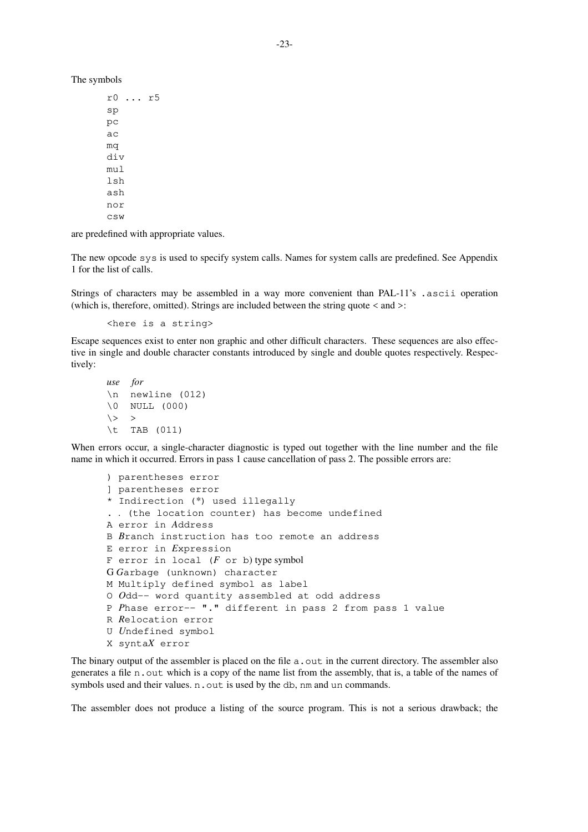The symbols

r0 ... r5 sp pc ac mq div mul lsh ash nor csw

are predefined with appropriate values.

The new opcode sys is used to specify system calls. Names for system calls are predefined. See Appendix 1 for the list of calls.

Strings of characters may be assembled in a way more convenient than PAL-11's .ascii operation (which is, therefore, omitted). Strings are included between the string quote  $\leq$  and  $\geq$ :

<here is a string>

Escape sequences exist to enter non graphic and other difficult characters. These sequences are also effective in single and double character constants introduced by single and double quotes respectively. Respectively:

```
use for
\n newline (012)
\0 NULL (000)
\langle > |\t TAB (011)
```
When errors occur, a single-character diagnostic is typed out together with the line number and the file name in which it occurred. Errors in pass 1 cause cancellation of pass 2. The possible errors are:

```
) parentheses error
] parentheses error
* Indirection (*) used illegally
. . (the location counter) has become undefined
A error in Address
B Branch instruction has too remote an address
E error in Expression
F error in local (F or b) type symbol
G Garbage (unknown) character
M Multiply defined symbol as label
O Odd-- word quantity assembled at odd address
P Phase error-- "." different in pass 2 from pass 1 value
R Relocation error
U Undefined symbol
X syntaX error
```
The binary output of the assembler is placed on the file  $a$ , out in the current directory. The assembler also generates a file n.out which is a copy of the name list from the assembly, that is, a table of the names of symbols used and their values. n. out is used by the db, nm and un commands.

The assembler does not produce a listing of the source program. This is not a serious drawback; the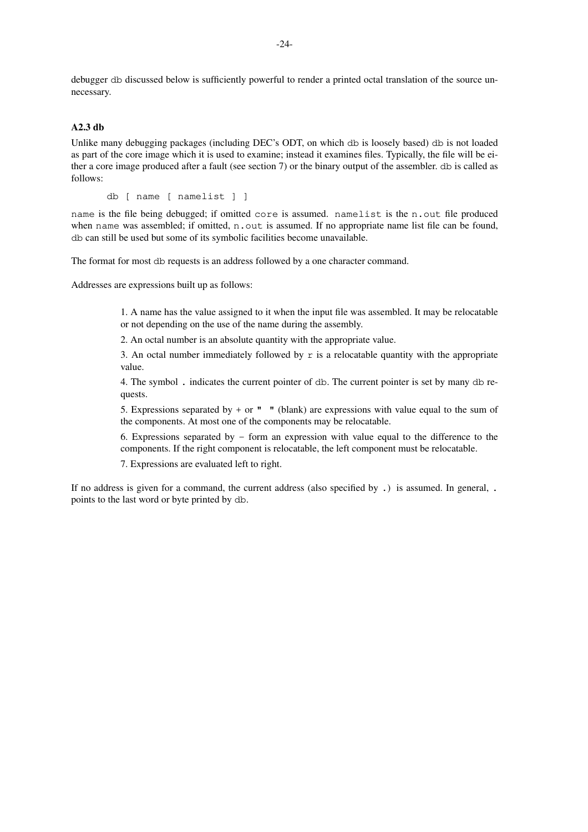debugger db discussed below is sufficiently powerful to render a printed octal translation of the source unnecessary.

# **A2.3 db**

Unlike many debugging packages (including DEC's ODT, on which db is loosely based) db is not loaded as part of the core image which it is used to examine; instead it examines files. Typically, the file will be either a core image produced after a fault (see section 7) or the binary output of the assembler. db is called as follows:

db [ name [ namelist ] ]

name is the file being debugged; if omitted core is assumed. namelist is the n.out file produced when name was assembled; if omitted, n.out is assumed. If no appropriate name list file can be found, db can still be used but some of its symbolic facilities become unavailable.

The format for most db requests is an address followed by a one character command.

Addresses are expressions built up as follows:

1. A name has the value assigned to it when the input file was assembled. It may be relocatable or not depending on the use of the name during the assembly.

2. An octal number is an absolute quantity with the appropriate value.

3. An octal number immediately followed by r is a relocatable quantity with the appropriate value.

4. The symbol . indicates the current pointer of db. The current pointer is set by many db requests.

5. Expressions separated by + or  $"$  " (blank) are expressions with value equal to the sum of the components. At most one of the components may be relocatable.

6. Expressions separated by  $-$  form an expression with value equal to the difference to the components. If the right component is relocatable, the left component must be relocatable.

7. Expressions are evaluated left to right.

If no address is given for a command, the current address (also specified by .) is assumed. In general, . points to the last word or byte printed by db.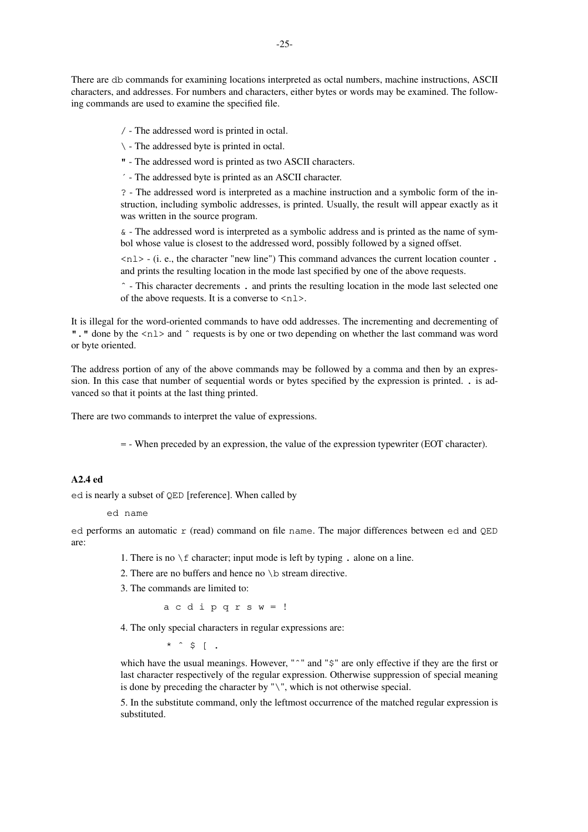There are db commands for examining locations interpreted as octal numbers, machine instructions, ASCII characters, and addresses. For numbers and characters, either bytes or words may be examined. The following commands are used to examine the specified file.

/ - The addressed word is printed in octal.

\ - The addressed byte is printed in octal.

" - The addressed word is printed as two ASCII characters.

´ - The addressed byte is printed as an ASCII character.

? - The addressed word is interpreted as a machine instruction and a symbolic form of the instruction, including symbolic addresses, is printed. Usually, the result will appear exactly as it was written in the source program.

& - The addressed word is interpreted as a symbolic address and is printed as the name of symbol whose value is closest to the addressed word, possibly followed by a signed offset.

 $\langle n_1 \rangle$  - (i. e., the character "new line") This command advances the current location counter . and prints the resulting location in the mode last specified by one of the above requests.

ˆ - This character decrements . and prints the resulting location in the mode last selected one of the above requests. It is a converse to  $\langle n \rangle$ .

It is illegal for the word-oriented commands to have odd addresses. The incrementing and decrementing of ". " done by the  $\langle n1 \rangle$  and  $\hat{ }$  requests is by one or two depending on whether the last command was word or byte oriented.

The address portion of any of the above commands may be followed by a comma and then by an expression. In this case that number of sequential words or bytes specified by the expression is printed. . is advanced so that it points at the last thing printed.

There are two commands to interpret the value of expressions.

= - When preceded by an expression, the value of the expression typewriter (EOT character).

# **A2.4 ed**

ed is nearly a subset of QED [reference]. When called by

```
ed name
```
ed performs an automatic r (read) command on file name. The major differences between ed and QED are:

- 1. There is no  $\setminus$  f character; input mode is left by typing . alone on a line.
- 2. There are no buffers and hence no  $\b$  stream directive.
- 3. The commands are limited to:

acdipqrsw=!

4. The only special characters in regular expressions are:

 $*$  ^ \$ [ .

which have the usual meanings. However, "ˆ" and "\$" are only effective if they are the first or last character respectively of the regular expression. Otherwise suppression of special meaning is done by preceding the character by "\", which is not otherwise special.

5. In the substitute command, only the leftmost occurrence of the matched regular expression is substituted.